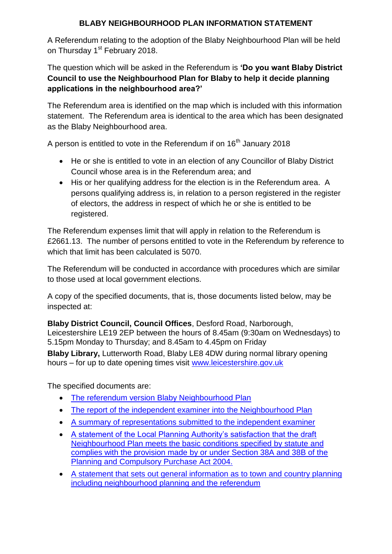## **BLABY NEIGHBOURHOOD PLAN INFORMATION STATEMENT**

A Referendum relating to the adoption of the Blaby Neighbourhood Plan will be held on Thursday 1<sup>st</sup> February 2018.

The question which will be asked in the Referendum is **'Do you want Blaby District Council to use the Neighbourhood Plan for Blaby to help it decide planning applications in the neighbourhood area?'**

The Referendum area is identified on the map which is included with this information statement. The Referendum area is identical to the area which has been designated as the Blaby Neighbourhood area.

A person is entitled to vote in the Referendum if on 16<sup>th</sup> January 2018

- He or she is entitled to vote in an election of any Councillor of Blaby District Council whose area is in the Referendum area; and
- His or her qualifying address for the election is in the Referendum area. A persons qualifying address is, in relation to a person registered in the register of electors, the address in respect of which he or she is entitled to be registered.

The Referendum expenses limit that will apply in relation to the Referendum is £2661.13. The number of persons entitled to vote in the Referendum by reference to which that limit has been calculated is 5070.

The Referendum will be conducted in accordance with procedures which are similar to those used at local government elections.

A copy of the specified documents, that is, those documents listed below, may be inspected at:

**Blaby District Council, Council Offices**, Desford Road, Narborough, Leicestershire LE19 2EP between the hours of 8.45am (9:30am on Wednesdays) to 5.15pm Monday to Thursday; and 8.45am to 4.45pm on Friday

**Blaby Library,** Lutterworth Road, Blaby LE8 4DW during normal library opening hours – for up to date opening times visit [www.leicestershire.gov.uk](http://www.leicestershire.gov.uk/) 

The specified documents are:

- [The referendum version Blaby Neighbourhood Plan](http://www.blaby.gov.uk/EasySiteWeb/GatewayLink.aspx?alId=14468)
- [The report of the independent examiner into the Neighbourhood Plan](http://www.blaby.gov.uk/EasySiteWeb/GatewayLink.aspx?alId=14353)
- [A summary of representations submitted to the independent examiner](http://www.blaby.gov.uk/EasySiteWeb/GatewayLink.aspx?alId=14463)
- [A statement of the Local Planning Authority's satisfaction that the draft](http://www.blaby.gov.uk/EasySiteWeb/GatewayLink.aspx?alId=14470)  [Neighbourhood Plan meets the basic conditions specified by statute and](http://www.blaby.gov.uk/EasySiteWeb/GatewayLink.aspx?alId=14470)  [complies with the provision made by or under Section 38A and 38B of the](http://www.blaby.gov.uk/EasySiteWeb/GatewayLink.aspx?alId=14470)  [Planning and Compulsory Purchase Act 2004.](http://www.blaby.gov.uk/EasySiteWeb/GatewayLink.aspx?alId=14470)
- [A statement that sets out general information as to town and country planning](http://www.blaby.gov.uk/EasySiteWeb/GatewayLink.aspx?alId=14462)  [including neighbourhood planning and the referendum](http://www.blaby.gov.uk/EasySiteWeb/GatewayLink.aspx?alId=14462)